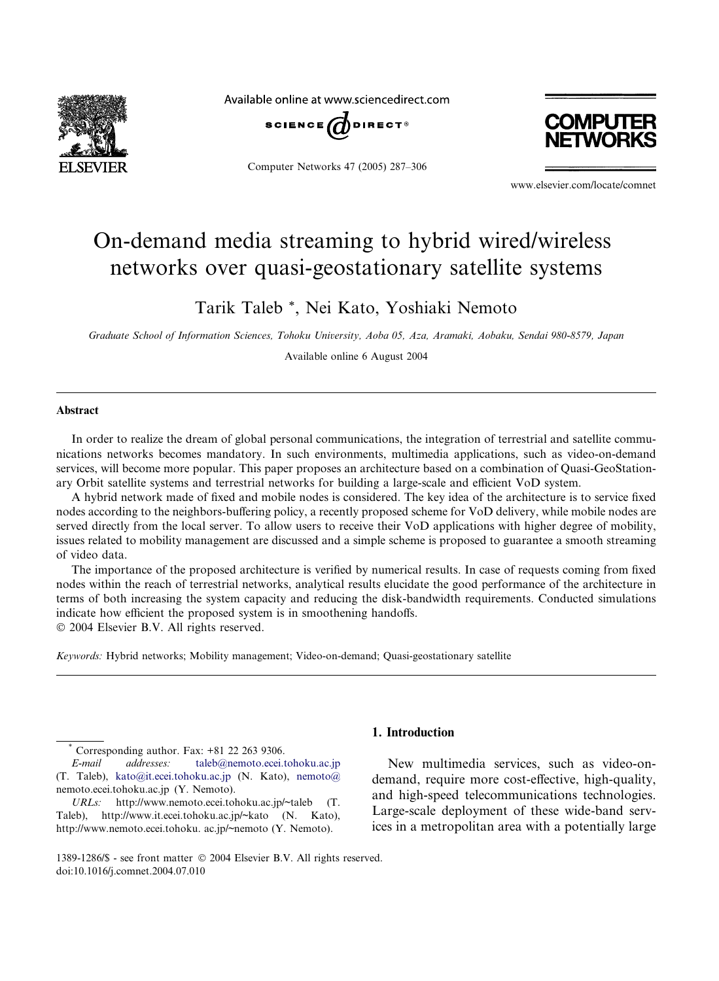

Available online at www.sciencedirect.com



Computer Networks 47 (2005) 287–306



www.elsevier.com/locate/comnet

# On-demand media streaming to hybrid wired/wireless networks over quasi-geostationary satellite systems

Tarik Taleb \*, Nei Kato, Yoshiaki Nemoto

Graduate School of Information Sciences, Tohoku University, Aoba 05, Aza, Aramaki, Aobaku, Sendai 980-8579, Japan

Available online 6 August 2004

#### Abstract

In order to realize the dream of global personal communications, the integration of terrestrial and satellite communications networks becomes mandatory. In such environments, multimedia applications, such as video-on-demand services, will become more popular. This paper proposes an architecture based on a combination of Quasi-GeoStationary Orbit satellite systems and terrestrial networks for building a large-scale and efficient VoD system.

A hybrid network made of fixed and mobile nodes is considered. The key idea of the architecture is to service fixed nodes according to the neighbors-buffering policy, a recently proposed scheme for VoD delivery, while mobile nodes are served directly from the local server. To allow users to receive their VoD applications with higher degree of mobility, issues related to mobility management are discussed and a simple scheme is proposed to guarantee a smooth streaming of video data.

The importance of the proposed architecture is verified by numerical results. In case of requests coming from fixed nodes within the reach of terrestrial networks, analytical results elucidate the good performance of the architecture in terms of both increasing the system capacity and reducing the disk-bandwidth requirements. Conducted simulations indicate how efficient the proposed system is in smoothening handoffs.

2004 Elsevier B.V. All rights reserved.

Keywords: Hybrid networks; Mobility management; Video-on-demand; Quasi-geostationary satellite

Corresponding author. Fax:  $+81$  22 263 9306.

E-mail addresses: [taleb@nemoto.ecei.tohoku.ac.jp](mailto:taleb@nemoto.ecei.tohoku.ac.jp 	) (T. Taleb), [kato@it.ecei.tohoku.ac.jp](mailto:kato@it.ecei.tohoku.ac.jp ) (N. Kato), [nemoto@](mailto:nemoto@ ) nemoto.ecei.tohoku.ac.jp (Y. Nemoto).

URLs: http://www.nemoto.ecei.tohoku.ac.jp/~taleb (T. Taleb), http://www.it.ecei.tohoku.ac.jp/~kato (N. Kato), http://www.nemoto.ecei.tohoku. ac.jp/~nemoto (Y. Nemoto).

### 1. Introduction

New multimedia services, such as video-ondemand, require more cost-effective, high-quality, and high-speed telecommunications technologies. Large-scale deployment of these wide-band services in a metropolitan area with a potentially large

1389-1286/\$ - see front matter © 2004 Elsevier B.V. All rights reserved. doi:10.1016/j.comnet.2004.07.010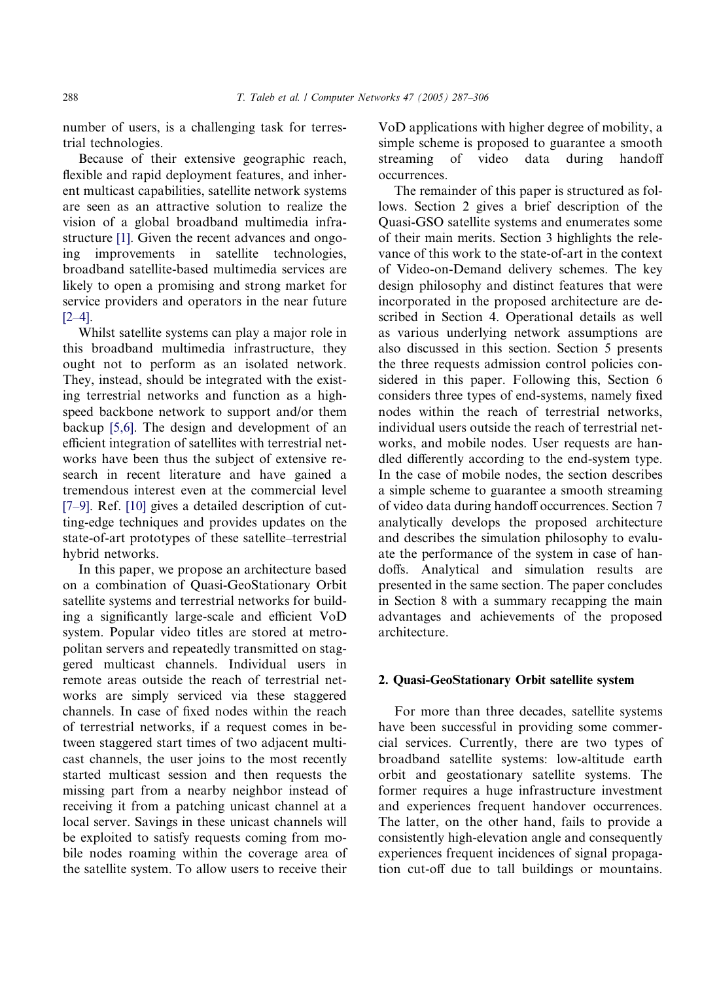number of users, is a challenging task for terrestrial technologies.

Because of their extensive geographic reach, flexible and rapid deployment features, and inherent multicast capabilities, satellite network systems are seen as an attractive solution to realize the vision of a global broadband multimedia infrastructure [\[1\].](#page-17-0) Given the recent advances and ongoing improvements in satellite technologies, broadband satellite-based multimedia services are likely to open a promising and strong market for service providers and operators in the near future  $[2-4]$ .

Whilst satellite systems can play a major role in this broadband multimedia infrastructure, they ought not to perform as an isolated network. They, instead, should be integrated with the existing terrestrial networks and function as a highspeed backbone network to support and/or them backup [\[5,6\]](#page-17-0). The design and development of an efficient integration of satellites with terrestrial networks have been thus the subject of extensive research in recent literature and have gained a tremendous interest even at the commercial level [\[7–9\].](#page-17-0) Ref. [\[10\]](#page-17-0) gives a detailed description of cutting-edge techniques and provides updates on the state-of-art prototypes of these satellite–terrestrial hybrid networks.

In this paper, we propose an architecture based on a combination of Quasi-GeoStationary Orbit satellite systems and terrestrial networks for building a significantly large-scale and efficient VoD system. Popular video titles are stored at metropolitan servers and repeatedly transmitted on staggered multicast channels. Individual users in remote areas outside the reach of terrestrial networks are simply serviced via these staggered channels. In case of fixed nodes within the reach of terrestrial networks, if a request comes in between staggered start times of two adjacent multicast channels, the user joins to the most recently started multicast session and then requests the missing part from a nearby neighbor instead of receiving it from a patching unicast channel at a local server. Savings in these unicast channels will be exploited to satisfy requests coming from mobile nodes roaming within the coverage area of the satellite system. To allow users to receive their VoD applications with higher degree of mobility, a simple scheme is proposed to guarantee a smooth streaming of video data during handoff occurrences.

The remainder of this paper is structured as follows. Section 2 gives a brief description of the Quasi-GSO satellite systems and enumerates some of their main merits. Section 3 highlights the relevance of this work to the state-of-art in the context of Video-on-Demand delivery schemes. The key design philosophy and distinct features that were incorporated in the proposed architecture are described in Section 4. Operational details as well as various underlying network assumptions are also discussed in this section. Section 5 presents the three requests admission control policies considered in this paper. Following this, Section 6 considers three types of end-systems, namely fixed nodes within the reach of terrestrial networks, individual users outside the reach of terrestrial networks, and mobile nodes. User requests are handled differently according to the end-system type. In the case of mobile nodes, the section describes a simple scheme to guarantee a smooth streaming of video data during handoff occurrences. Section 7 analytically develops the proposed architecture and describes the simulation philosophy to evaluate the performance of the system in case of handoffs. Analytical and simulation results are presented in the same section. The paper concludes in Section 8 with a summary recapping the main advantages and achievements of the proposed architecture.

#### 2. Quasi-GeoStationary Orbit satellite system

For more than three decades, satellite systems have been successful in providing some commercial services. Currently, there are two types of broadband satellite systems: low-altitude earth orbit and geostationary satellite systems. The former requires a huge infrastructure investment and experiences frequent handover occurrences. The latter, on the other hand, fails to provide a consistently high-elevation angle and consequently experiences frequent incidences of signal propagation cut-off due to tall buildings or mountains.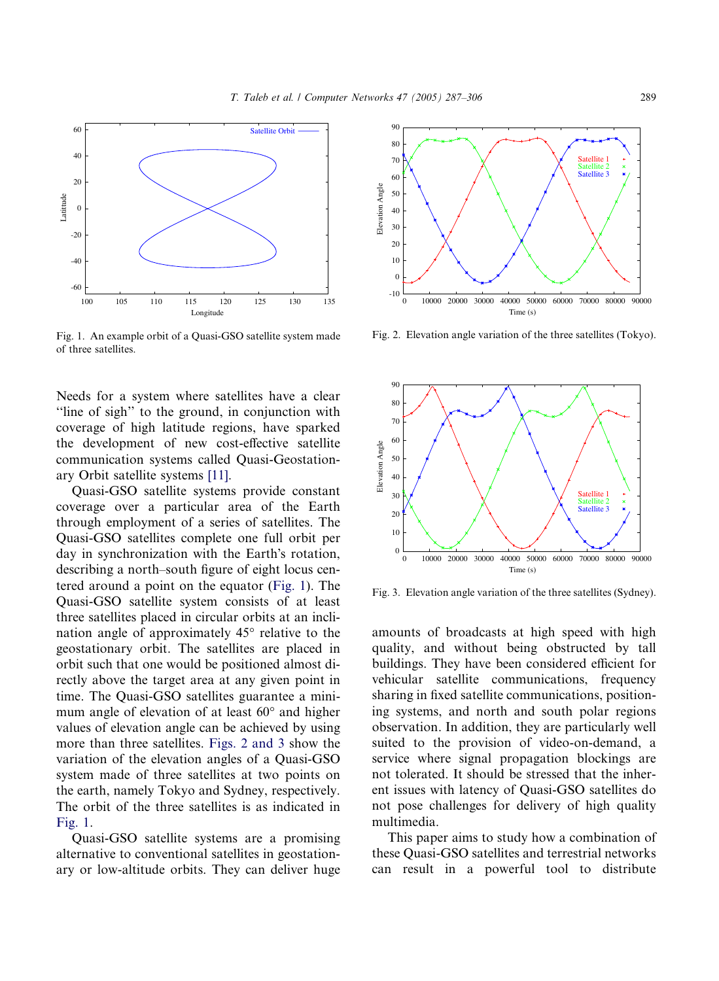

Fig. 1. An example orbit of a Quasi-GSO satellite system made of three satellites.

Needs for a system where satellites have a clear ''line of sigh'' to the ground, in conjunction with coverage of high latitude regions, have sparked the development of new cost-effective satellite communication systems called Quasi-Geostationary Orbit satellite systems [\[11\].](#page-17-0)

Quasi-GSO satellite systems provide constant coverage over a particular area of the Earth through employment of a series of satellites. The Quasi-GSO satellites complete one full orbit per day in synchronization with the Earth's rotation, describing a north–south figure of eight locus centered around a point on the equator (Fig. 1). The Quasi-GSO satellite system consists of at least three satellites placed in circular orbits at an inclination angle of approximately  $45^{\circ}$  relative to the geostationary orbit. The satellites are placed in orbit such that one would be positioned almost directly above the target area at any given point in time. The Quasi-GSO satellites guarantee a minimum angle of elevation of at least  $60^{\circ}$  and higher values of elevation angle can be achieved by using more than three satellites. Figs. 2 and 3 show the variation of the elevation angles of a Quasi-GSO system made of three satellites at two points on the earth, namely Tokyo and Sydney, respectively. The orbit of the three satellites is as indicated in Fig. 1.

Quasi-GSO satellite systems are a promising alternative to conventional satellites in geostationary or low-altitude orbits. They can deliver huge



Fig. 2. Elevation angle variation of the three satellites (Tokyo).



Fig. 3. Elevation angle variation of the three satellites (Sydney).

amounts of broadcasts at high speed with high quality, and without being obstructed by tall buildings. They have been considered efficient for vehicular satellite communications, frequency sharing in fixed satellite communications, positioning systems, and north and south polar regions observation. In addition, they are particularly well suited to the provision of video-on-demand, a service where signal propagation blockings are not tolerated. It should be stressed that the inherent issues with latency of Quasi-GSO satellites do not pose challenges for delivery of high quality multimedia.

This paper aims to study how a combination of these Quasi-GSO satellites and terrestrial networks can result in a powerful tool to distribute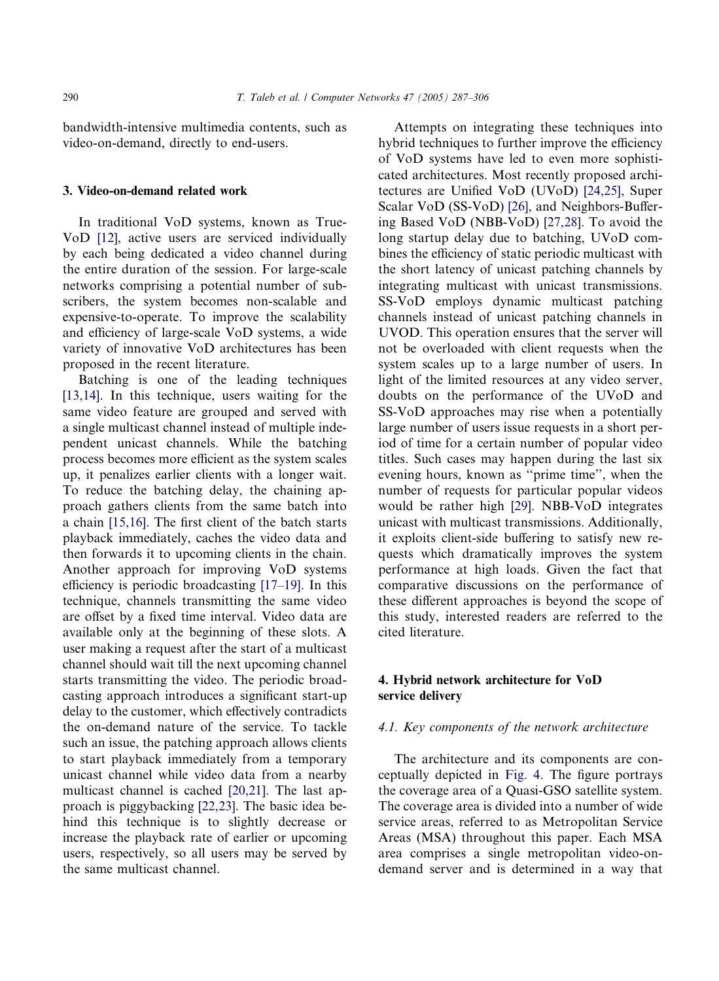bandwidth-intensive multimedia contents, such as video-on-demand, directly to end-users.

### 3. Video-on-demand related work

In traditional VoD systems, known as True-VoD [\[12\]](#page-17-0), active users are serviced individually by each being dedicated a video channel during the entire duration of the session. For large-scale networks comprising a potential number of subscribers, the system becomes non-scalable and expensive-to-operate. To improve the scalability and efficiency of large-scale VoD systems, a wide variety of innovative VoD architectures has been proposed in the recent literature.

Batching is one of the leading techniques [\[13,14\].](#page-17-0) In this technique, users waiting for the same video feature are grouped and served with a single multicast channel instead of multiple independent unicast channels. While the batching process becomes more efficient as the system scales up, it penalizes earlier clients with a longer wait. To reduce the batching delay, the chaining approach gathers clients from the same batch into a chain [\[15,16\].](#page-17-0) The first client of the batch starts playback immediately, caches the video data and then forwards it to upcoming clients in the chain. Another approach for improving VoD systems efficiency is periodic broadcasting [\[17–19\].](#page-17-0) In this technique, channels transmitting the same video are offset by a fixed time interval. Video data are available only at the beginning of these slots. A user making a request after the start of a multicast channel should wait till the next upcoming channel starts transmitting the video. The periodic broadcasting approach introduces a significant start-up delay to the customer, which effectively contradicts the on-demand nature of the service. To tackle such an issue, the patching approach allows clients to start playback immediately from a temporary unicast channel while video data from a nearby multicast channel is cached [\[20,21\]](#page-18-0). The last approach is piggybacking [\[22,23\]](#page-18-0). The basic idea behind this technique is to slightly decrease or increase the playback rate of earlier or upcoming users, respectively, so all users may be served by the same multicast channel.

Attempts on integrating these techniques into hybrid techniques to further improve the efficiency of VoD systems have led to even more sophisticated architectures. Most recently proposed architectures are Unified VoD (UVoD) [\[24,25\]](#page-18-0), Super Scalar VoD (SS-VoD) [\[26\]](#page-18-0), and Neighbors-Buffering Based VoD (NBB-VoD) [\[27,28\].](#page-18-0) To avoid the long startup delay due to batching, UVoD combines the efficiency of static periodic multicast with the short latency of unicast patching channels by integrating multicast with unicast transmissions. SS-VoD employs dynamic multicast patching channels instead of unicast patching channels in UVOD. This operation ensures that the server will not be overloaded with client requests when the system scales up to a large number of users. In light of the limited resources at any video server, doubts on the performance of the UVoD and SS-VoD approaches may rise when a potentially large number of users issue requests in a short period of time for a certain number of popular video titles. Such cases may happen during the last six evening hours, known as ''prime time'', when the number of requests for particular popular videos would be rather high [\[29\]](#page-18-0). NBB-VoD integrates unicast with multicast transmissions. Additionally, it exploits client-side buffering to satisfy new requests which dramatically improves the system performance at high loads. Given the fact that comparative discussions on the performance of these different approaches is beyond the scope of this study, interested readers are referred to the cited literature.

## 4. Hybrid network architecture for VoD service delivery

#### 4.1. Key components of the network architecture

The architecture and its components are conceptually depicted in [Fig. 4.](#page-4-0) The figure portrays the coverage area of a Quasi-GSO satellite system. The coverage area is divided into a number of wide service areas, referred to as Metropolitan Service Areas (MSA) throughout this paper. Each MSA area comprises a single metropolitan video-ondemand server and is determined in a way that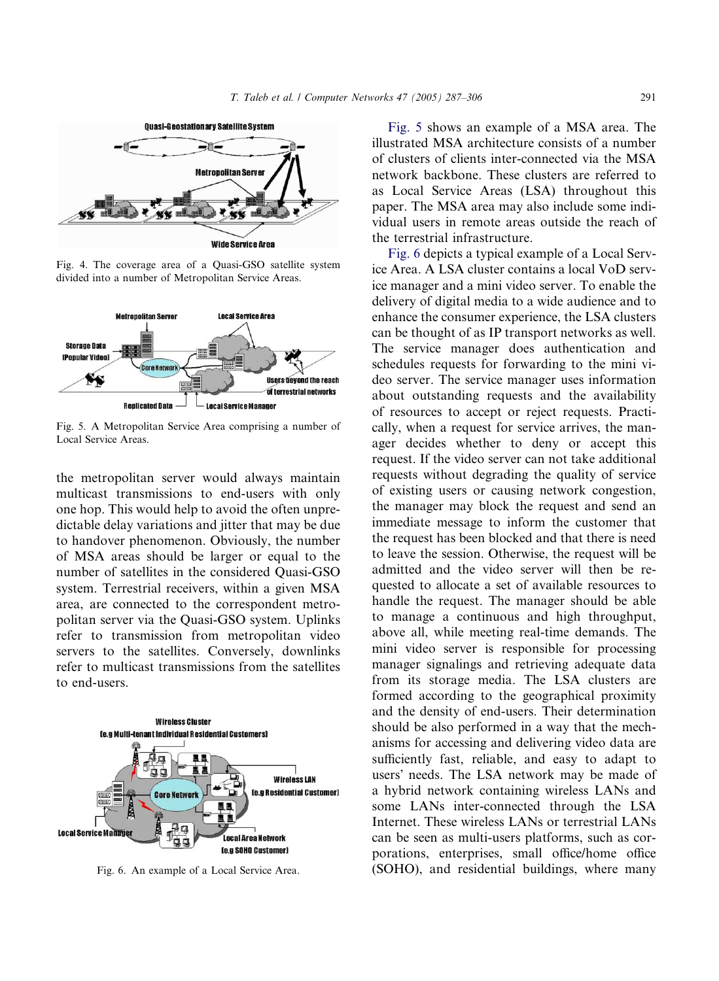<span id="page-4-0"></span>

Fig. 4. The coverage area of a Quasi-GSO satellite system divided into a number of Metropolitan Service Areas.



Fig. 5. A Metropolitan Service Area comprising a number of Local Service Areas.

the metropolitan server would always maintain multicast transmissions to end-users with only one hop. This would help to avoid the often unpredictable delay variations and jitter that may be due to handover phenomenon. Obviously, the number of MSA areas should be larger or equal to the number of satellites in the considered Quasi-GSO system. Terrestrial receivers, within a given MSA area, are connected to the correspondent metropolitan server via the Quasi-GSO system. Uplinks refer to transmission from metropolitan video servers to the satellites. Conversely, downlinks refer to multicast transmissions from the satellites to end-users.



Fig. 6. An example of a Local Service Area.

Fig. 5 shows an example of a MSA area. The illustrated MSA architecture consists of a number of clusters of clients inter-connected via the MSA network backbone. These clusters are referred to as Local Service Areas (LSA) throughout this paper. The MSA area may also include some individual users in remote areas outside the reach of the terrestrial infrastructure.

Fig. 6 depicts a typical example of a Local Service Area. A LSA cluster contains a local VoD service manager and a mini video server. To enable the delivery of digital media to a wide audience and to enhance the consumer experience, the LSA clusters can be thought of as IP transport networks as well. The service manager does authentication and schedules requests for forwarding to the mini video server. The service manager uses information about outstanding requests and the availability of resources to accept or reject requests. Practically, when a request for service arrives, the manager decides whether to deny or accept this request. If the video server can not take additional requests without degrading the quality of service of existing users or causing network congestion, the manager may block the request and send an immediate message to inform the customer that the request has been blocked and that there is need to leave the session. Otherwise, the request will be admitted and the video server will then be requested to allocate a set of available resources to handle the request. The manager should be able to manage a continuous and high throughput, above all, while meeting real-time demands. The mini video server is responsible for processing manager signalings and retrieving adequate data from its storage media. The LSA clusters are formed according to the geographical proximity and the density of end-users. Their determination should be also performed in a way that the mechanisms for accessing and delivering video data are sufficiently fast, reliable, and easy to adapt to users' needs. The LSA network may be made of a hybrid network containing wireless LANs and some LANs inter-connected through the LSA Internet. These wireless LANs or terrestrial LANs can be seen as multi-users platforms, such as corporations, enterprises, small office/home office (SOHO), and residential buildings, where many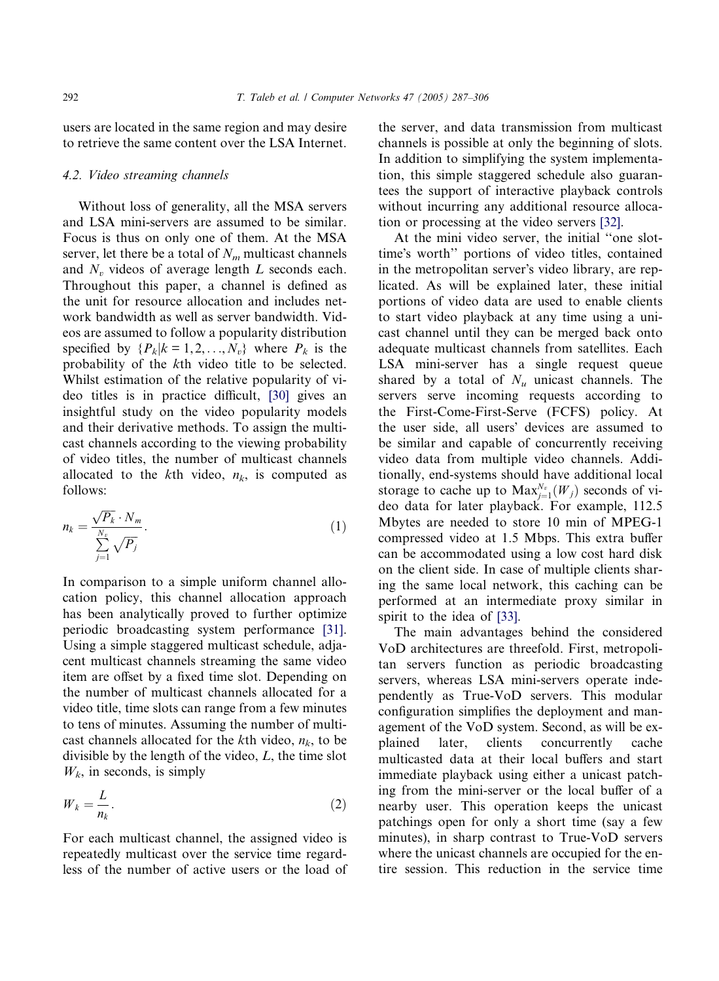users are located in the same region and may desire to retrieve the same content over the LSA Internet.

## 4.2. Video streaming channels

Without loss of generality, all the MSA servers and LSA mini-servers are assumed to be similar. Focus is thus on only one of them. At the MSA server, let there be a total of  $N_m$  multicast channels and  $N_v$  videos of average length  $L$  seconds each. Throughout this paper, a channel is defined as the unit for resource allocation and includes network bandwidth as well as server bandwidth. Videos are assumed to follow a popularity distribution specified by  $\{P_k | k = 1, 2, \ldots, N_v\}$  where  $P_k$  is the probability of the kth video title to be selected. Whilst estimation of the relative popularity of video titles is in practice difficult, [\[30\]](#page-18-0) gives an insightful study on the video popularity models and their derivative methods. To assign the multicast channels according to the viewing probability of video titles, the number of multicast channels allocated to the kth video,  $n_k$ , is computed as follows:

$$
n_k = \frac{\sqrt{P_k} \cdot N_m}{\sum\limits_{j=1}^{N_v} \sqrt{P_j}}.
$$
\n(1)

In comparison to a simple uniform channel allocation policy, this channel allocation approach has been analytically proved to further optimize periodic broadcasting system performance [\[31\].](#page-18-0) Using a simple staggered multicast schedule, adjacent multicast channels streaming the same video item are offset by a fixed time slot. Depending on the number of multicast channels allocated for a video title, time slots can range from a few minutes to tens of minutes. Assuming the number of multicast channels allocated for the kth video,  $n_k$ , to be divisible by the length of the video, L, the time slot  $W_k$ , in seconds, is simply

$$
W_k = \frac{L}{n_k}.\tag{2}
$$

For each multicast channel, the assigned video is repeatedly multicast over the service time regardless of the number of active users or the load of the server, and data transmission from multicast channels is possible at only the beginning of slots. In addition to simplifying the system implementation, this simple staggered schedule also guarantees the support of interactive playback controls without incurring any additional resource allocation or processing at the video servers [\[32\].](#page-18-0)

At the mini video server, the initial ''one slottime's worth'' portions of video titles, contained in the metropolitan server's video library, are replicated. As will be explained later, these initial portions of video data are used to enable clients to start video playback at any time using a unicast channel until they can be merged back onto adequate multicast channels from satellites. Each LSA mini-server has a single request queue shared by a total of  $N_u$  unicast channels. The servers serve incoming requests according to the First-Come-First-Serve (FCFS) policy. At the user side, all users' devices are assumed to be similar and capable of concurrently receiving video data from multiple video channels. Additionally, end-systems should have additional local storage to cache up to  $Max_{j=1}^{N_v}(W_j)$  seconds of video data for later playback. For example, 112.5 Mbytes are needed to store 10 min of MPEG-1 compressed video at 1.5 Mbps. This extra buffer can be accommodated using a low cost hard disk on the client side. In case of multiple clients sharing the same local network, this caching can be performed at an intermediate proxy similar in spirit to the idea of [\[33\].](#page-18-0)

The main advantages behind the considered VoD architectures are threefold. First, metropolitan servers function as periodic broadcasting servers, whereas LSA mini-servers operate independently as True-VoD servers. This modular configuration simplifies the deployment and management of the VoD system. Second, as will be explained later, clients concurrently cache multicasted data at their local buffers and start immediate playback using either a unicast patching from the mini-server or the local buffer of a nearby user. This operation keeps the unicast patchings open for only a short time (say a few minutes), in sharp contrast to True-VoD servers where the unicast channels are occupied for the entire session. This reduction in the service time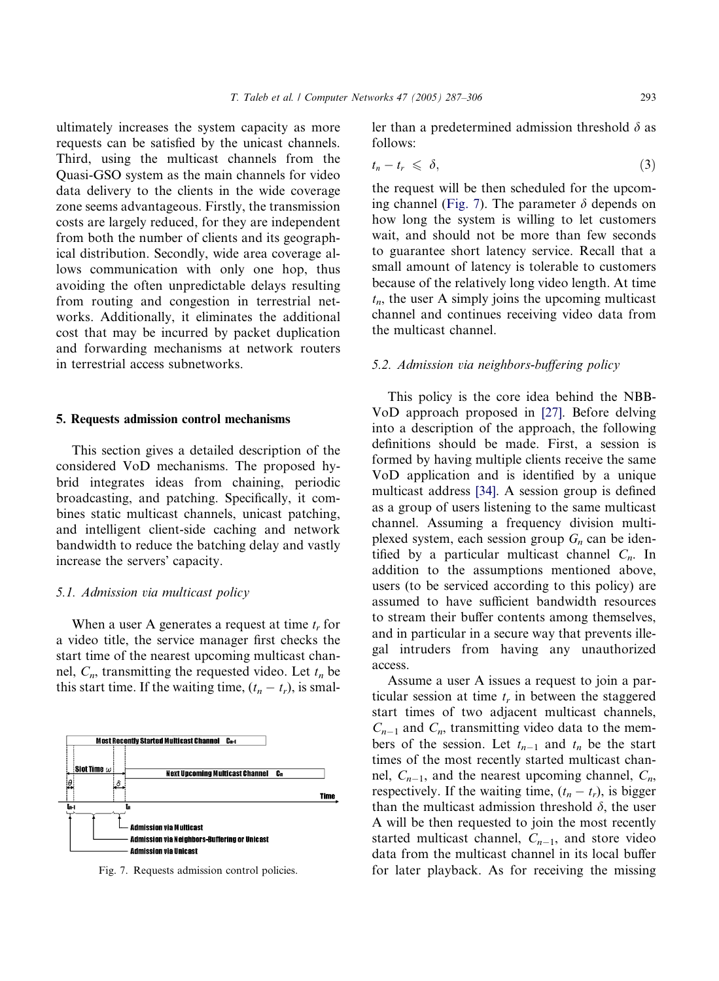<span id="page-6-0"></span>ultimately increases the system capacity as more requests can be satisfied by the unicast channels. Third, using the multicast channels from the Quasi-GSO system as the main channels for video data delivery to the clients in the wide coverage zone seems advantageous. Firstly, the transmission costs are largely reduced, for they are independent from both the number of clients and its geographical distribution. Secondly, wide area coverage allows communication with only one hop, thus avoiding the often unpredictable delays resulting from routing and congestion in terrestrial networks. Additionally, it eliminates the additional cost that may be incurred by packet duplication and forwarding mechanisms at network routers

#### 5. Requests admission control mechanisms

in terrestrial access subnetworks.

This section gives a detailed description of the considered VoD mechanisms. The proposed hybrid integrates ideas from chaining, periodic broadcasting, and patching. Specifically, it combines static multicast channels, unicast patching, and intelligent client-side caching and network bandwidth to reduce the batching delay and vastly increase the servers' capacity.

## 5.1. Admission via multicast policy

When a user A generates a request at time  $t_r$  for a video title, the service manager first checks the start time of the nearest upcoming multicast channel,  $C_n$ , transmitting the requested video. Let  $t_n$  be this start time. If the waiting time,  $(t_n - t_r)$ , is smal-



ler than a predetermined admission threshold  $\delta$  as follows:

$$
t_n - t_r \leqslant \delta,\tag{3}
$$

the request will be then scheduled for the upcoming channel (Fig. 7). The parameter  $\delta$  depends on how long the system is willing to let customers wait, and should not be more than few seconds to guarantee short latency service. Recall that a small amount of latency is tolerable to customers because of the relatively long video length. At time  $t_n$ , the user A simply joins the upcoming multicast channel and continues receiving video data from the multicast channel.

#### 5.2. Admission via neighbors-buffering policy

This policy is the core idea behind the NBB-VoD approach proposed in [\[27\]](#page-18-0). Before delving into a description of the approach, the following definitions should be made. First, a session is formed by having multiple clients receive the same VoD application and is identified by a unique multicast address [\[34\]](#page-18-0). A session group is defined as a group of users listening to the same multicast channel. Assuming a frequency division multiplexed system, each session group  $G_n$  can be identified by a particular multicast channel  $C_n$ . In addition to the assumptions mentioned above, users (to be serviced according to this policy) are assumed to have sufficient bandwidth resources to stream their buffer contents among themselves, and in particular in a secure way that prevents illegal intruders from having any unauthorized access.

Assume a user A issues a request to join a particular session at time  $t_r$  in between the staggered start times of two adjacent multicast channels,  $C_{n-1}$  and  $C_n$ , transmitting video data to the members of the session. Let  $t_{n-1}$  and  $t_n$  be the start times of the most recently started multicast channel,  $C_{n-1}$ , and the nearest upcoming channel,  $C_n$ , respectively. If the waiting time,  $(t_n - t_r)$ , is bigger than the multicast admission threshold  $\delta$ , the user A will be then requested to join the most recently started multicast channel,  $C_{n-1}$ , and store video data from the multicast channel in its local buffer Fig. 7. Requests admission control policies. for later playback. As for receiving the missing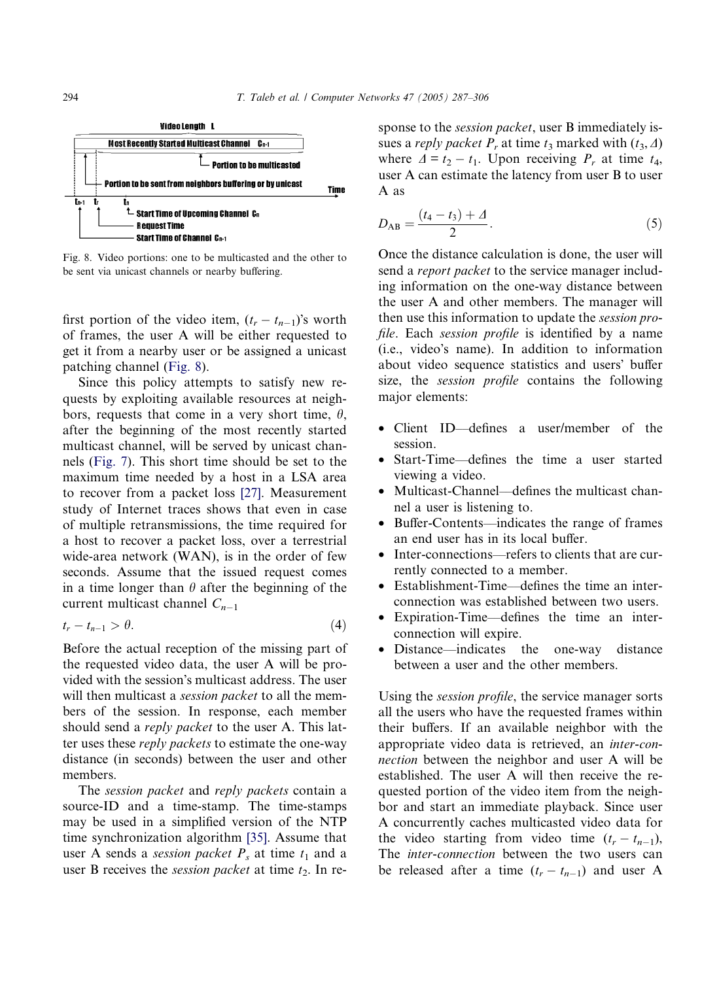

Fig. 8. Video portions: one to be multicasted and the other to be sent via unicast channels or nearby buffering.

first portion of the video item,  $(t_r - t_{n-1})$ 's worth of frames, the user A will be either requested to get it from a nearby user or be assigned a unicast patching channel (Fig. 8).

Since this policy attempts to satisfy new requests by exploiting available resources at neighbors, requests that come in a very short time,  $\theta$ , after the beginning of the most recently started multicast channel, will be served by unicast channels ([Fig. 7](#page-6-0)). This short time should be set to the maximum time needed by a host in a LSA area to recover from a packet loss [\[27\].](#page-18-0) Measurement study of Internet traces shows that even in case of multiple retransmissions, the time required for a host to recover a packet loss, over a terrestrial wide-area network (WAN), is in the order of few seconds. Assume that the issued request comes in a time longer than  $\theta$  after the beginning of the current multicast channel  $C_{n-1}$ 

$$
t_r - t_{n-1} > \theta. \tag{4}
$$

Before the actual reception of the missing part of the requested video data, the user A will be provided with the session's multicast address. The user will then multicast a *session packet* to all the members of the session. In response, each member should send a reply packet to the user A. This latter uses these *reply packets* to estimate the one-way distance (in seconds) between the user and other members.

The *session packet* and *reply packets* contain a source-ID and a time-stamp. The time-stamps may be used in a simplified version of the NTP time synchronization algorithm [\[35\]](#page-18-0). Assume that user A sends a *session packet*  $P_s$  at time  $t_1$  and a user B receives the *session packet* at time  $t_2$ . In response to the *session packet*, user B immediately issues a *reply packet*  $P_r$  at time  $t_3$  marked with  $(t_3, \Delta)$ where  $\Delta = t_2 - t_1$ . Upon receiving  $P_r$  at time  $t_4$ , user A can estimate the latency from user B to user A as

$$
D_{AB} = \frac{(t_4 - t_3) + \Delta}{2}.
$$
 (5)

Once the distance calculation is done, the user will send a report packet to the service manager including information on the one-way distance between the user A and other members. The manager will then use this information to update the session profile. Each session profile is identified by a name (i.e., video's name). In addition to information about video sequence statistics and users' buffer size, the session profile contains the following major elements:

- Client ID––defines a user/member of the session.
- Start-Time––defines the time a user started viewing a video.
- Multicast-Channel—defines the multicast channel a user is listening to.
- Buffer-Contents—indicates the range of frames an end user has in its local buffer.
- Inter-connections—refers to clients that are currently connected to a member.
- Establishment-Time––defines the time an interconnection was established between two users.
- Expiration-Time––defines the time an interconnection will expire.
- Distance—indicates the one-way distance between a user and the other members.

Using the session profile, the service manager sorts all the users who have the requested frames within their buffers. If an available neighbor with the appropriate video data is retrieved, an inter-connection between the neighbor and user A will be established. The user A will then receive the requested portion of the video item from the neighbor and start an immediate playback. Since user A concurrently caches multicasted video data for the video starting from video time  $(t_r - t_{n-1}),$ The inter-connection between the two users can be released after a time  $(t_r - t_{n-1})$  and user A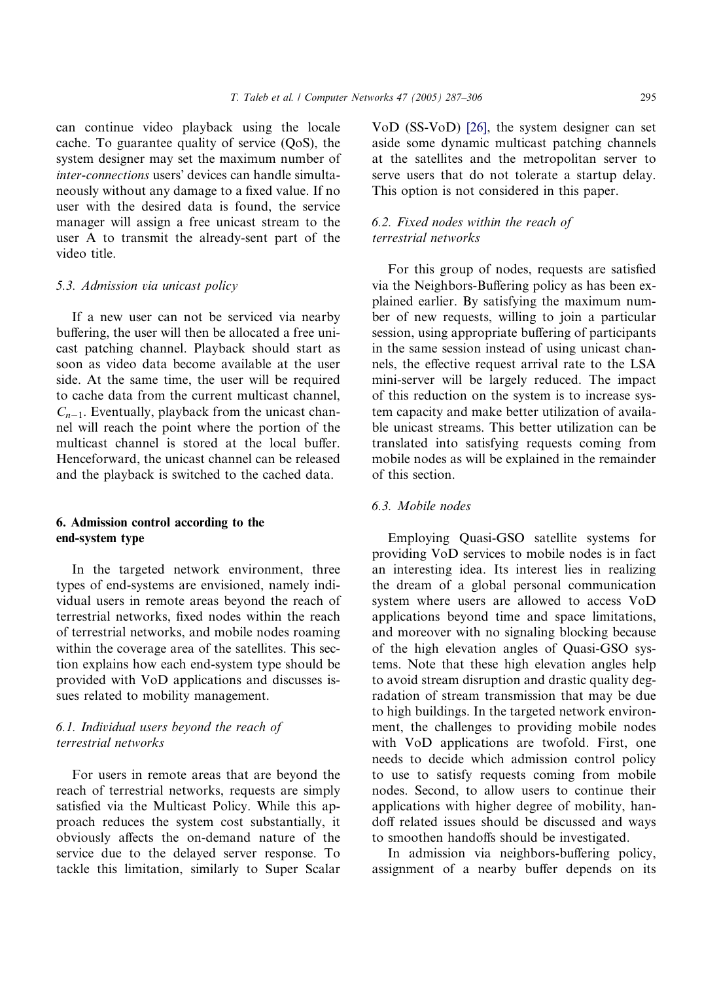can continue video playback using the locale cache. To guarantee quality of service (QoS), the system designer may set the maximum number of inter-connections users' devices can handle simultaneously without any damage to a fixed value. If no user with the desired data is found, the service manager will assign a free unicast stream to the user A to transmit the already-sent part of the video title.

#### 5.3. Admission via unicast policy

If a new user can not be serviced via nearby buffering, the user will then be allocated a free unicast patching channel. Playback should start as soon as video data become available at the user side. At the same time, the user will be required to cache data from the current multicast channel,  $C_{n-1}$ . Eventually, playback from the unicast channel will reach the point where the portion of the multicast channel is stored at the local buffer. Henceforward, the unicast channel can be released and the playback is switched to the cached data.

# 6. Admission control according to the end-system type

In the targeted network environment, three types of end-systems are envisioned, namely individual users in remote areas beyond the reach of terrestrial networks, fixed nodes within the reach of terrestrial networks, and mobile nodes roaming within the coverage area of the satellites. This section explains how each end-system type should be provided with VoD applications and discusses issues related to mobility management.

# 6.1. Individual users beyond the reach of terrestrial networks

For users in remote areas that are beyond the reach of terrestrial networks, requests are simply satisfied via the Multicast Policy. While this approach reduces the system cost substantially, it obviously affects the on-demand nature of the service due to the delayed server response. To tackle this limitation, similarly to Super Scalar VoD (SS-VoD) [\[26\],](#page-18-0) the system designer can set aside some dynamic multicast patching channels at the satellites and the metropolitan server to serve users that do not tolerate a startup delay. This option is not considered in this paper.

# 6.2. Fixed nodes within the reach of terrestrial networks

For this group of nodes, requests are satisfied via the Neighbors-Buffering policy as has been explained earlier. By satisfying the maximum number of new requests, willing to join a particular session, using appropriate buffering of participants in the same session instead of using unicast channels, the effective request arrival rate to the LSA mini-server will be largely reduced. The impact of this reduction on the system is to increase system capacity and make better utilization of available unicast streams. This better utilization can be translated into satisfying requests coming from mobile nodes as will be explained in the remainder of this section.

## 6.3. Mobile nodes

Employing Quasi-GSO satellite systems for providing VoD services to mobile nodes is in fact an interesting idea. Its interest lies in realizing the dream of a global personal communication system where users are allowed to access VoD applications beyond time and space limitations, and moreover with no signaling blocking because of the high elevation angles of Quasi-GSO systems. Note that these high elevation angles help to avoid stream disruption and drastic quality degradation of stream transmission that may be due to high buildings. In the targeted network environment, the challenges to providing mobile nodes with VoD applications are twofold. First, one needs to decide which admission control policy to use to satisfy requests coming from mobile nodes. Second, to allow users to continue their applications with higher degree of mobility, handoff related issues should be discussed and ways to smoothen handoffs should be investigated.

In admission via neighbors-buffering policy, assignment of a nearby buffer depends on its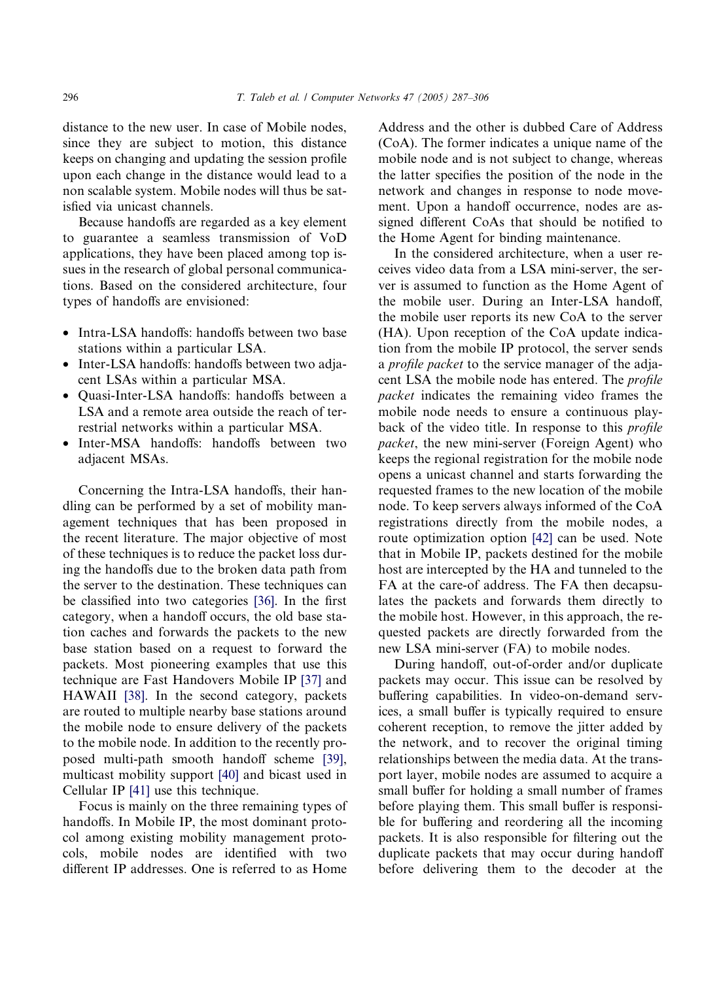distance to the new user. In case of Mobile nodes, since they are subject to motion, this distance keeps on changing and updating the session profile upon each change in the distance would lead to a non scalable system. Mobile nodes will thus be satisfied via unicast channels.

Because handoffs are regarded as a key element to guarantee a seamless transmission of VoD applications, they have been placed among top issues in the research of global personal communications. Based on the considered architecture, four types of handoffs are envisioned:

- Intra-LSA handoffs: handoffs between two base stations within a particular LSA.
- Inter-LSA handoffs: handoffs between two adjacent LSAs within a particular MSA.
- Quasi-Inter-LSA handoffs: handoffs between a LSA and a remote area outside the reach of terrestrial networks within a particular MSA.
- Inter-MSA handoffs: handoffs between two adjacent MSAs.

Concerning the Intra-LSA handoffs, their handling can be performed by a set of mobility management techniques that has been proposed in the recent literature. The major objective of most of these techniques is to reduce the packet loss during the handoffs due to the broken data path from the server to the destination. These techniques can be classified into two categories [\[36\].](#page-18-0) In the first category, when a handoff occurs, the old base station caches and forwards the packets to the new base station based on a request to forward the packets. Most pioneering examples that use this technique are Fast Handovers Mobile IP [\[37\]](#page-18-0) and HAWAII [\[38\].](#page-18-0) In the second category, packets are routed to multiple nearby base stations around the mobile node to ensure delivery of the packets to the mobile node. In addition to the recently proposed multi-path smooth handoff scheme [\[39\],](#page-18-0) multicast mobility support [\[40\]](#page-18-0) and bicast used in Cellular IP [\[41\]](#page-18-0) use this technique.

Focus is mainly on the three remaining types of handoffs. In Mobile IP, the most dominant protocol among existing mobility management protocols, mobile nodes are identified with two different IP addresses. One is referred to as Home

Address and the other is dubbed Care of Address (CoA). The former indicates a unique name of the mobile node and is not subject to change, whereas the latter specifies the position of the node in the network and changes in response to node movement. Upon a handoff occurrence, nodes are assigned different CoAs that should be notified to the Home Agent for binding maintenance.

In the considered architecture, when a user receives video data from a LSA mini-server, the server is assumed to function as the Home Agent of the mobile user. During an Inter-LSA handoff, the mobile user reports its new CoA to the server (HA). Upon reception of the CoA update indication from the mobile IP protocol, the server sends a profile packet to the service manager of the adjacent LSA the mobile node has entered. The profile packet indicates the remaining video frames the mobile node needs to ensure a continuous playback of the video title. In response to this profile packet, the new mini-server (Foreign Agent) who keeps the regional registration for the mobile node opens a unicast channel and starts forwarding the requested frames to the new location of the mobile node. To keep servers always informed of the CoA registrations directly from the mobile nodes, a route optimization option [\[42\]](#page-18-0) can be used. Note that in Mobile IP, packets destined for the mobile host are intercepted by the HA and tunneled to the FA at the care-of address. The FA then decapsulates the packets and forwards them directly to the mobile host. However, in this approach, the requested packets are directly forwarded from the new LSA mini-server (FA) to mobile nodes.

During handoff, out-of-order and/or duplicate packets may occur. This issue can be resolved by buffering capabilities. In video-on-demand services, a small buffer is typically required to ensure coherent reception, to remove the jitter added by the network, and to recover the original timing relationships between the media data. At the transport layer, mobile nodes are assumed to acquire a small buffer for holding a small number of frames before playing them. This small buffer is responsible for buffering and reordering all the incoming packets. It is also responsible for filtering out the duplicate packets that may occur during handoff before delivering them to the decoder at the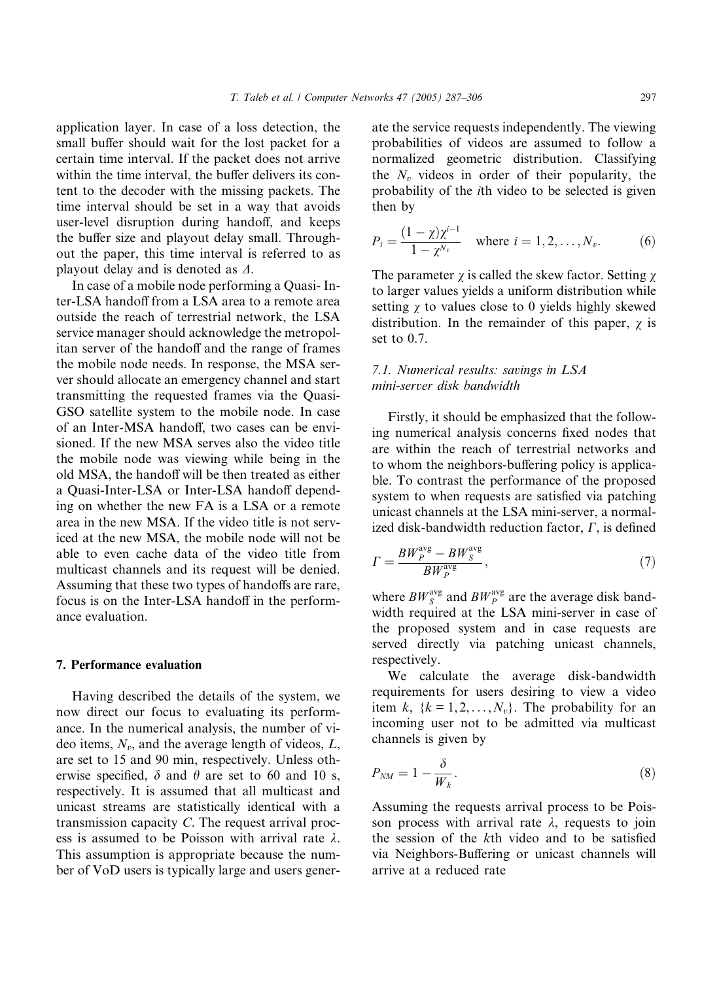application layer. In case of a loss detection, the small buffer should wait for the lost packet for a certain time interval. If the packet does not arrive within the time interval, the buffer delivers its content to the decoder with the missing packets. The time interval should be set in a way that avoids user-level disruption during handoff, and keeps the buffer size and playout delay small. Throughout the paper, this time interval is referred to as playout delay and is denoted as  $\Delta$ .

In case of a mobile node performing a Quasi- Inter-LSA handoff from a LSA area to a remote area outside the reach of terrestrial network, the LSA service manager should acknowledge the metropolitan server of the handoff and the range of frames the mobile node needs. In response, the MSA server should allocate an emergency channel and start transmitting the requested frames via the Quasi-GSO satellite system to the mobile node. In case of an Inter-MSA handoff, two cases can be envisioned. If the new MSA serves also the video title the mobile node was viewing while being in the old MSA, the handoff will be then treated as either a Quasi-Inter-LSA or Inter-LSA handoff depending on whether the new FA is a LSA or a remote area in the new MSA. If the video title is not serviced at the new MSA, the mobile node will not be able to even cache data of the video title from multicast channels and its request will be denied. Assuming that these two types of handoffs are rare, focus is on the Inter-LSA handoff in the performance evaluation.

#### 7. Performance evaluation

Having described the details of the system, we now direct our focus to evaluating its performance. In the numerical analysis, the number of video items,  $N_v$ , and the average length of videos,  $L$ , are set to 15 and 90 min, respectively. Unless otherwise specified,  $\delta$  and  $\theta$  are set to 60 and 10 s, respectively. It is assumed that all multicast and unicast streams are statistically identical with a transmission capacity C. The request arrival process is assumed to be Poisson with arrival rate  $\lambda$ . This assumption is appropriate because the number of VoD users is typically large and users generate the service requests independently. The viewing probabilities of videos are assumed to follow a normalized geometric distribution. Classifying the  $N_v$  videos in order of their popularity, the probability of the ith video to be selected is given then by

$$
P_i = \frac{(1 - \chi)\chi^{i-1}}{1 - \chi^{N_v}} \quad \text{where } i = 1, 2, \dots, N_v.
$$
 (6)

The parameter  $\chi$  is called the skew factor. Setting  $\chi$ to larger values yields a uniform distribution while setting  $\chi$  to values close to 0 yields highly skewed distribution. In the remainder of this paper,  $\chi$  is set to 0.7.

# 7.1. Numerical results: savings in LSA mini-server disk bandwidth

Firstly, it should be emphasized that the following numerical analysis concerns fixed nodes that are within the reach of terrestrial networks and to whom the neighbors-buffering policy is applicable. To contrast the performance of the proposed system to when requests are satisfied via patching unicast channels at the LSA mini-server, a normalized disk-bandwidth reduction factor,  $\Gamma$ , is defined

$$
\Gamma = \frac{BW_p^{\text{avg}} - BW_S^{\text{avg}}}{BW_p^{\text{avg}}},\tag{7}
$$

where  $BW_S^{\text{avg}}$  and  $BW_P^{\text{avg}}$  are the average disk bandwidth required at the LSA mini-server in case of the proposed system and in case requests are served directly via patching unicast channels, respectively.

We calculate the average disk-bandwidth requirements for users desiring to view a video item k,  $\{k = 1, 2, \ldots, N_n\}$ . The probability for an incoming user not to be admitted via multicast channels is given by

$$
P_{NM} = 1 - \frac{\delta}{W_k}.\tag{8}
$$

Assuming the requests arrival process to be Poisson process with arrival rate  $\lambda$ , requests to join the session of the kth video and to be satisfied via Neighbors-Buffering or unicast channels will arrive at a reduced rate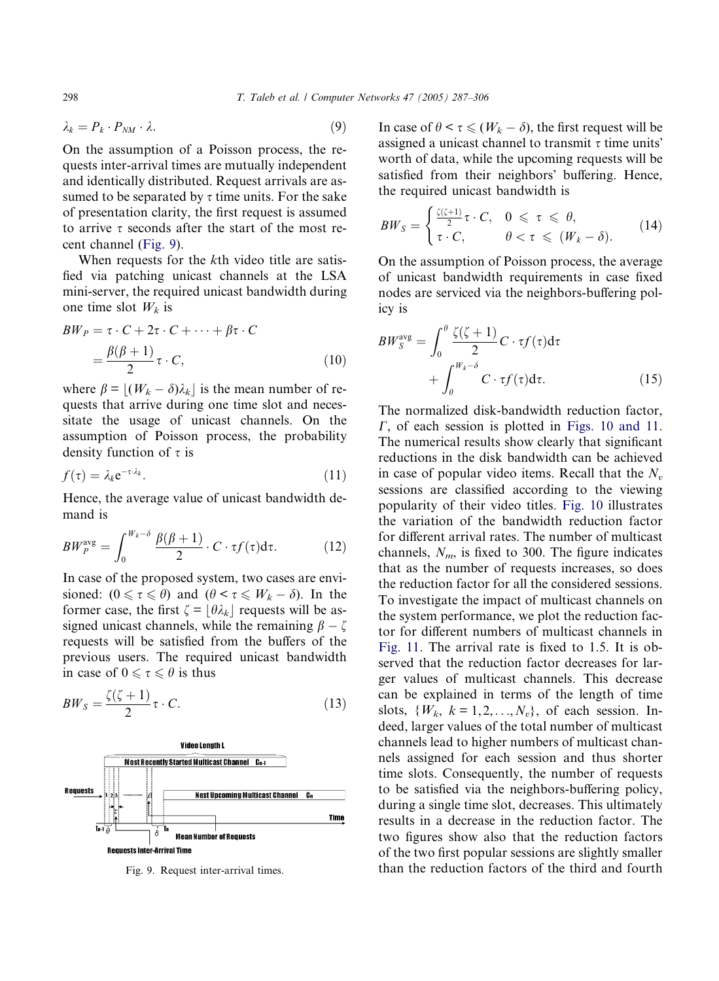$$
\lambda_k = P_k \cdot P_{NM} \cdot \lambda. \tag{9}
$$

On the assumption of a Poisson process, the requests inter-arrival times are mutually independent and identically distributed. Request arrivals are assumed to be separated by  $\tau$  time units. For the sake of presentation clarity, the first request is assumed to arrive  $\tau$  seconds after the start of the most recent channel (Fig. 9).

When requests for the kth video title are satisfied via patching unicast channels at the LSA mini-server, the required unicast bandwidth during one time slot  $W_k$  is

$$
BW_P = \tau \cdot C + 2\tau \cdot C + \dots + \beta \tau \cdot C
$$

$$
= \frac{\beta(\beta + 1)}{2} \tau \cdot C,
$$
(10)

where  $\beta = |(W_k - \delta)\lambda_k|$  is the mean number of requests that arrive during one time slot and necessitate the usage of unicast channels. On the assumption of Poisson process, the probability density function of  $\tau$  is

$$
f(\tau) = \lambda_k e^{-\tau \cdot \lambda_k}.
$$
 (11)

Hence, the average value of unicast bandwidth demand is

$$
BW_P^{\text{avg}} = \int_0^{W_k - \delta} \frac{\beta(\beta + 1)}{2} \cdot C \cdot \tau f(\tau) d\tau.
$$
 (12)

In case of the proposed system, two cases are envisioned:  $(0 \le \tau \le \theta)$  and  $(\theta \le \tau \le W_k - \delta)$ . In the former case, the first  $\zeta = |\theta \lambda_k|$  requests will be assigned unicast channels, while the remaining  $\beta - \zeta$ requests will be satisfied from the buffers of the previous users. The required unicast bandwidth in case of  $0 \le \tau \le \theta$  is thus

$$
BW_S = \frac{\zeta(\zeta + 1)}{2}\tau \cdot C. \tag{13}
$$



In case of  $\theta \le \tau \le (W_k - \delta)$ , the first request will be assigned a unicast channel to transmit  $\tau$  time units' worth of data, while the upcoming requests will be satisfied from their neighbors' buffering. Hence, the required unicast bandwidth is

$$
BW_S = \begin{cases} \frac{\zeta(\zeta+1)}{2}\tau \cdot C, & 0 \leq \tau \leq \theta, \\ \tau \cdot C, & \theta < \tau \leq (W_k - \delta). \end{cases}
$$
(14)

On the assumption of Poisson process, the average of unicast bandwidth requirements in case fixed nodes are serviced via the neighbors-buffering policy is

$$
BW_S^{\text{avg}} = \int_0^\theta \frac{\zeta(\zeta + 1)}{2} C \cdot \tau f(\tau) d\tau + \int_\theta^{W_k - \delta} C \cdot \tau f(\tau) d\tau.
$$
 (15)

The normalized disk-bandwidth reduction factor,  $\Gamma$ , of each session is plotted in [Figs. 10 and 11](#page-12-0). The numerical results show clearly that significant reductions in the disk bandwidth can be achieved in case of popular video items. Recall that the  $N_v$ sessions are classified according to the viewing popularity of their video titles. [Fig. 10](#page-12-0) illustrates the variation of the bandwidth reduction factor for different arrival rates. The number of multicast channels,  $N_m$ , is fixed to 300. The figure indicates that as the number of requests increases, so does the reduction factor for all the considered sessions. To investigate the impact of multicast channels on the system performance, we plot the reduction factor for different numbers of multicast channels in [Fig. 11.](#page-12-0) The arrival rate is fixed to 1.5. It is observed that the reduction factor decreases for larger values of multicast channels. This decrease can be explained in terms of the length of time slots,  $\{W_k, k = 1, 2, \ldots, N_v\}$ , of each session. Indeed, larger values of the total number of multicast channels lead to higher numbers of multicast channels assigned for each session and thus shorter time slots. Consequently, the number of requests to be satisfied via the neighbors-buffering policy, during a single time slot, decreases. This ultimately results in a decrease in the reduction factor. The two figures show also that the reduction factors of the two first popular sessions are slightly smaller Fig. 9. Request inter-arrival times. than the reduction factors of the third and fourth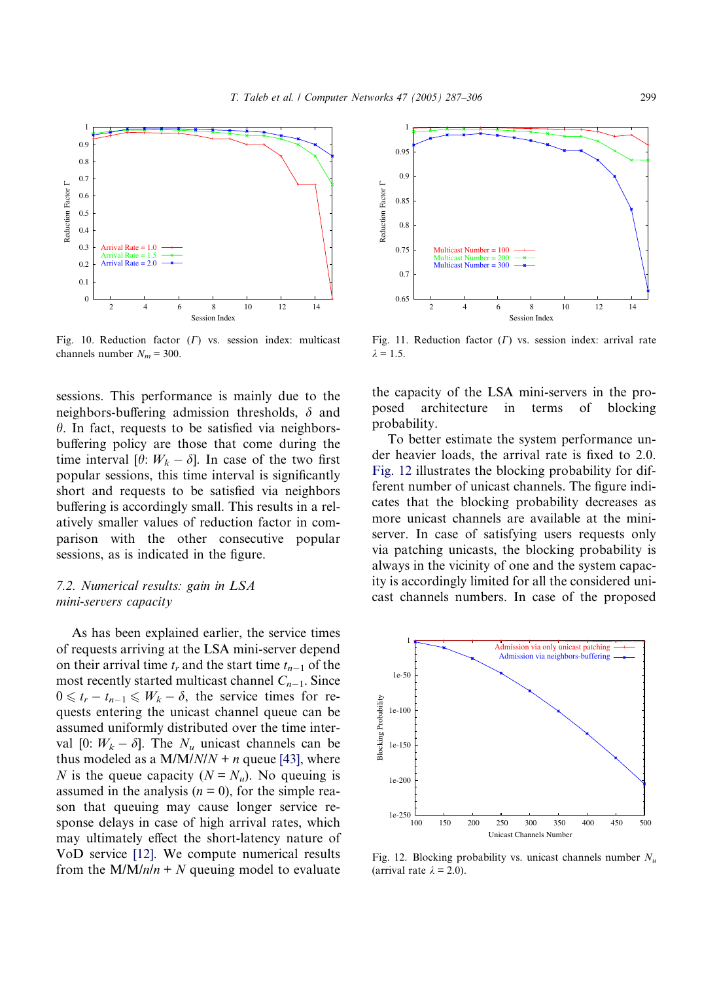<span id="page-12-0"></span>

Fig. 10. Reduction factor  $(\Gamma)$  vs. session index: multicast channels number  $N_m = 300$ .

sessions. This performance is mainly due to the neighbors-buffering admission thresholds,  $\delta$  and  $\theta$ . In fact, requests to be satisfied via neighborsbuffering policy are those that come during the time interval [ $\theta$ :  $W_k - \delta$ ]. In case of the two first popular sessions, this time interval is significantly short and requests to be satisfied via neighbors buffering is accordingly small. This results in a relatively smaller values of reduction factor in comparison with the other consecutive popular sessions, as is indicated in the figure.

# 7.2. Numerical results: gain in LSA mini-servers capacity

As has been explained earlier, the service times of requests arriving at the LSA mini-server depend on their arrival time  $t_r$  and the start time  $t_{n-1}$  of the most recently started multicast channel  $C_{n-1}$ . Since  $0 \leq t_r - t_{n-1} \leq W_k - \delta$ , the service times for requests entering the unicast channel queue can be assumed uniformly distributed over the time interval [0:  $W_k - \delta$ ]. The  $N_u$  unicast channels can be thus modeled as a  $M/M/N/N + n$  queue [\[43\]](#page-18-0), where N is the queue capacity  $(N = N_u)$ . No queuing is assumed in the analysis  $(n = 0)$ , for the simple reason that queuing may cause longer service response delays in case of high arrival rates, which may ultimately effect the short-latency nature of VoD service [\[12\]](#page-17-0). We compute numerical results from the  $M/M/n/n + N$  queuing model to evaluate



Fig. 11. Reduction factor  $(\Gamma)$  vs. session index: arrival rate  $\lambda = 1.5.$ 

the capacity of the LSA mini-servers in the proposed architecture in terms of blocking probability.

To better estimate the system performance under heavier loads, the arrival rate is fixed to 2.0. Fig. 12 illustrates the blocking probability for different number of unicast channels. The figure indicates that the blocking probability decreases as more unicast channels are available at the miniserver. In case of satisfying users requests only via patching unicasts, the blocking probability is always in the vicinity of one and the system capacity is accordingly limited for all the considered unicast channels numbers. In case of the proposed



Fig. 12. Blocking probability vs. unicast channels number  $N_u$ (arrival rate  $\lambda = 2.0$ ).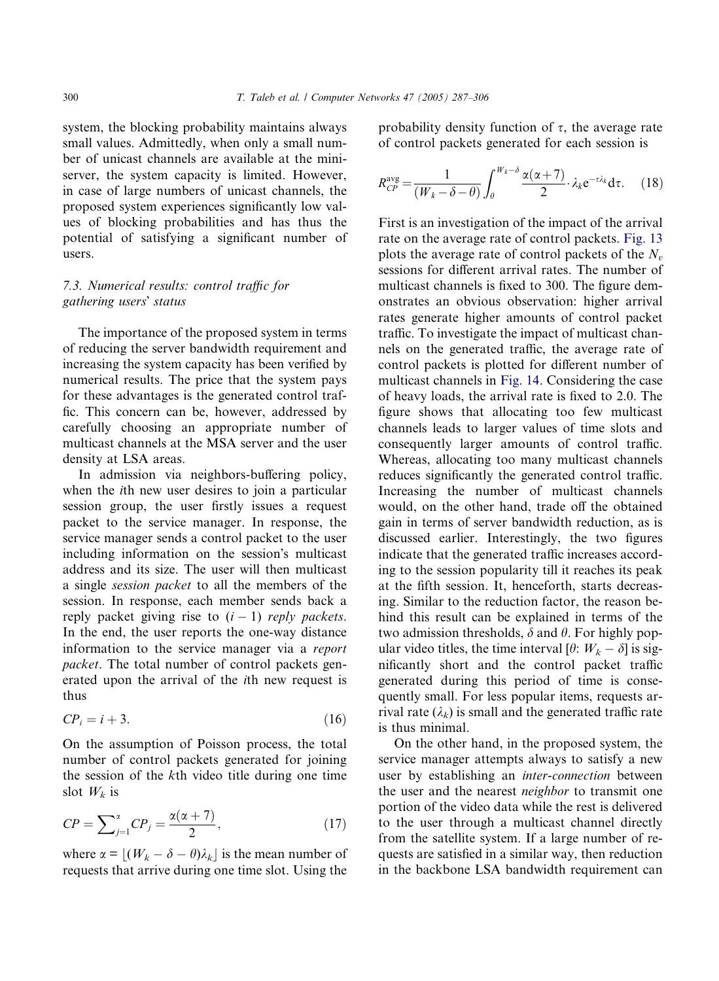system, the blocking probability maintains always small values. Admittedly, when only a small number of unicast channels are available at the miniserver, the system capacity is limited. However, in case of large numbers of unicast channels, the proposed system experiences significantly low values of blocking probabilities and has thus the potential of satisfying a significant number of users.

# 7.3. Numerical results: control traffic for gathering users' status

The importance of the proposed system in terms of reducing the server bandwidth requirement and increasing the system capacity has been verified by numerical results. The price that the system pays for these advantages is the generated control traffic. This concern can be, however, addressed by carefully choosing an appropriate number of multicast channels at the MSA server and the user density at LSA areas.

In admission via neighbors-buffering policy, when the *i*th new user desires to join a particular session group, the user firstly issues a request packet to the service manager. In response, the service manager sends a control packet to the user including information on the session's multicast address and its size. The user will then multicast a single session packet to all the members of the session. In response, each member sends back a reply packet giving rise to  $(i - 1)$  reply packets. In the end, the user reports the one-way distance information to the service manager via a report packet. The total number of control packets generated upon the arrival of the ith new request is thus

$$
CP_i = i + 3. \tag{16}
$$

On the assumption of Poisson process, the total number of control packets generated for joining the session of the kth video title during one time slot  $W_k$  is

$$
CP = \sum_{j=1}^{\alpha} CP_j = \frac{\alpha(\alpha+7)}{2},
$$
 (17)

where  $\alpha = |(W_k - \delta - \theta)\lambda_k|$  is the mean number of requests that arrive during one time slot. Using the probability density function of  $\tau$ , the average rate of control packets generated for each session is

$$
R_{CP}^{\text{avg}} = \frac{1}{(W_k - \delta - \theta)} \int_{\theta}^{W_k - \delta} \frac{\alpha(\alpha + 7)}{2} \cdot \lambda_k e^{-\tau \lambda_k} d\tau.
$$
 (18)

First is an investigation of the impact of the arrival rate on the average rate of control packets. [Fig. 13](#page-14-0) plots the average rate of control packets of the  $N_v$ sessions for different arrival rates. The number of multicast channels is fixed to 300. The figure demonstrates an obvious observation: higher arrival rates generate higher amounts of control packet traffic. To investigate the impact of multicast channels on the generated traffic, the average rate of control packets is plotted for different number of multicast channels in [Fig. 14](#page-14-0). Considering the case of heavy loads, the arrival rate is fixed to 2.0. The figure shows that allocating too few multicast channels leads to larger values of time slots and consequently larger amounts of control traffic. Whereas, allocating too many multicast channels reduces significantly the generated control traffic. Increasing the number of multicast channels would, on the other hand, trade off the obtained gain in terms of server bandwidth reduction, as is discussed earlier. Interestingly, the two figures indicate that the generated traffic increases according to the session popularity till it reaches its peak at the fifth session. It, henceforth, starts decreasing. Similar to the reduction factor, the reason behind this result can be explained in terms of the two admission thresholds,  $\delta$  and  $\theta$ . For highly popular video titles, the time interval  $[\theta: W_k - \delta]$  is significantly short and the control packet traffic generated during this period of time is consequently small. For less popular items, requests arrival rate  $(\lambda_k)$  is small and the generated traffic rate is thus minimal.

On the other hand, in the proposed system, the service manager attempts always to satisfy a new user by establishing an inter-connection between the user and the nearest *neighbor* to transmit one portion of the video data while the rest is delivered to the user through a multicast channel directly from the satellite system. If a large number of requests are satisfied in a similar way, then reduction in the backbone LSA bandwidth requirement can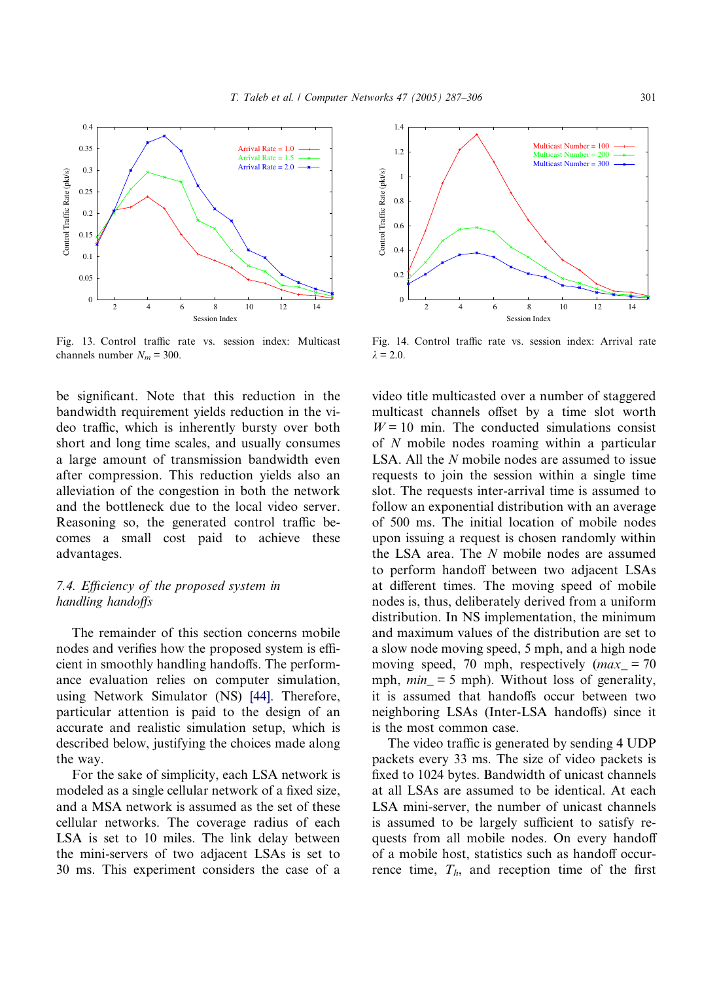<span id="page-14-0"></span>

Fig. 13. Control traffic rate vs. session index: Multicast channels number  $N_m = 300$ .

be significant. Note that this reduction in the bandwidth requirement yields reduction in the video traffic, which is inherently bursty over both short and long time scales, and usually consumes a large amount of transmission bandwidth even after compression. This reduction yields also an alleviation of the congestion in both the network and the bottleneck due to the local video server. Reasoning so, the generated control traffic becomes a small cost paid to achieve these advantages.

# 7.4. Efficiency of the proposed system in handling handoffs

The remainder of this section concerns mobile nodes and verifies how the proposed system is efficient in smoothly handling handoffs. The performance evaluation relies on computer simulation, using Network Simulator (NS) [\[44\].](#page-18-0) Therefore, particular attention is paid to the design of an accurate and realistic simulation setup, which is described below, justifying the choices made along the way.

For the sake of simplicity, each LSA network is modeled as a single cellular network of a fixed size, and a MSA network is assumed as the set of these cellular networks. The coverage radius of each LSA is set to 10 miles. The link delay between the mini-servers of two adjacent LSAs is set to 30 ms. This experiment considers the case of a



Fig. 14. Control traffic rate vs. session index: Arrival rate  $\lambda = 2.0.$ 

video title multicasted over a number of staggered multicast channels offset by a time slot worth  $W = 10$  min. The conducted simulations consist of N mobile nodes roaming within a particular LSA. All the N mobile nodes are assumed to issue requests to join the session within a single time slot. The requests inter-arrival time is assumed to follow an exponential distribution with an average of 500 ms. The initial location of mobile nodes upon issuing a request is chosen randomly within the LSA area. The N mobile nodes are assumed to perform handoff between two adjacent LSAs at different times. The moving speed of mobile nodes is, thus, deliberately derived from a uniform distribution. In NS implementation, the minimum and maximum values of the distribution are set to a slow node moving speed, 5 mph, and a high node moving speed, 70 mph, respectively  $(max_$  = 70 mph,  $min_{-}$  = 5 mph). Without loss of generality, it is assumed that handoffs occur between two neighboring LSAs (Inter-LSA handoffs) since it is the most common case.

The video traffic is generated by sending 4 UDP packets every 33 ms. The size of video packets is fixed to 1024 bytes. Bandwidth of unicast channels at all LSAs are assumed to be identical. At each LSA mini-server, the number of unicast channels is assumed to be largely sufficient to satisfy requests from all mobile nodes. On every handoff of a mobile host, statistics such as handoff occurrence time,  $T<sub>h</sub>$ , and reception time of the first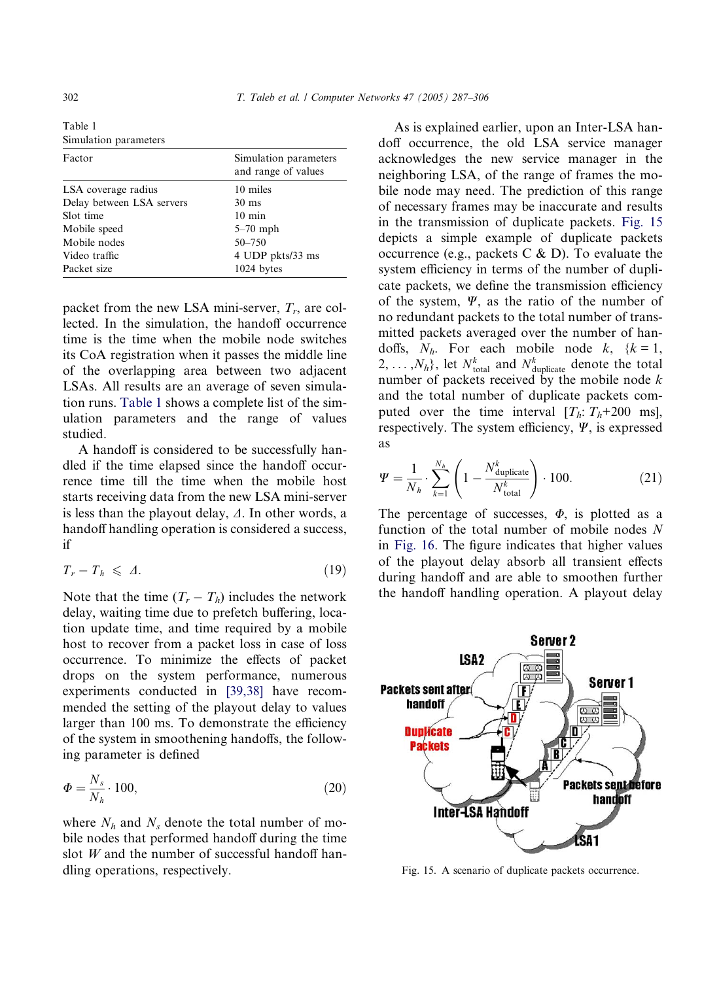Table 1 Simulation parameters

| Factor                    | Simulation parameters<br>and range of values |
|---------------------------|----------------------------------------------|
| LSA coverage radius       | 10 miles                                     |
| Delay between LSA servers | $30 \text{ ms}$                              |
| Slot time                 | $10 \text{ min}$                             |
| Mobile speed              | $5-70$ mph                                   |
| Mobile nodes              | $50 - 750$                                   |
| Video traffic             | 4 UDP pkts/33 ms                             |
| Packet size               | 1024 bytes                                   |

packet from the new LSA mini-server,  $T_r$ , are collected. In the simulation, the handoff occurrence time is the time when the mobile node switches its CoA registration when it passes the middle line of the overlapping area between two adjacent LSAs. All results are an average of seven simulation runs. Table 1 shows a complete list of the simulation parameters and the range of values studied.

A handoff is considered to be successfully handled if the time elapsed since the handoff occurrence time till the time when the mobile host starts receiving data from the new LSA mini-server is less than the playout delay,  $\Delta$ . In other words, a handoff handling operation is considered a success, if

$$
T_r - T_h \leqslant \varDelta. \tag{19}
$$

Note that the time  $(T_r - T_h)$  includes the network delay, waiting time due to prefetch buffering, location update time, and time required by a mobile host to recover from a packet loss in case of loss occurrence. To minimize the effects of packet drops on the system performance, numerous experiments conducted in [\[39,38\]](#page-18-0) have recommended the setting of the playout delay to values larger than 100 ms. To demonstrate the efficiency of the system in smoothening handoffs, the following parameter is defined

$$
\Phi = \frac{N_s}{N_h} \cdot 100,\tag{20}
$$

where  $N_h$  and  $N_s$  denote the total number of mobile nodes that performed handoff during the time slot  $W$  and the number of successful handoff handling operations, respectively.

As is explained earlier, upon an Inter-LSA handoff occurrence, the old LSA service manager acknowledges the new service manager in the neighboring LSA, of the range of frames the mobile node may need. The prediction of this range of necessary frames may be inaccurate and results in the transmission of duplicate packets. Fig. 15 depicts a simple example of duplicate packets occurrence (e.g., packets  $C \& D$ ). To evaluate the system efficiency in terms of the number of duplicate packets, we define the transmission efficiency of the system,  $\Psi$ , as the ratio of the number of no redundant packets to the total number of transmitted packets averaged over the number of handoffs,  $N_h$ . For each mobile node k,  $\{k = 1,$  $2, \ldots, N_h$ , let  $N_{total}^k$  and  $N_{dupiter}^k$  denote the total number of packets received by the mobile node  $k$ and the total number of duplicate packets computed over the time interval  $[T_h: T_h+200 \text{ ms}]$ , respectively. The system efficiency,  $\Psi$ , is expressed as

$$
\Psi = \frac{1}{N_h} \cdot \sum_{k=1}^{N_h} \left( 1 - \frac{N_{\text{duplicate}}^k}{N_{\text{total}}^k} \right) \cdot 100. \tag{21}
$$

The percentage of successes,  $\Phi$ , is plotted as a function of the total number of mobile nodes N in [Fig. 16.](#page-16-0) The figure indicates that higher values of the playout delay absorb all transient effects during handoff and are able to smoothen further the handoff handling operation. A playout delay



Fig. 15. A scenario of duplicate packets occurrence.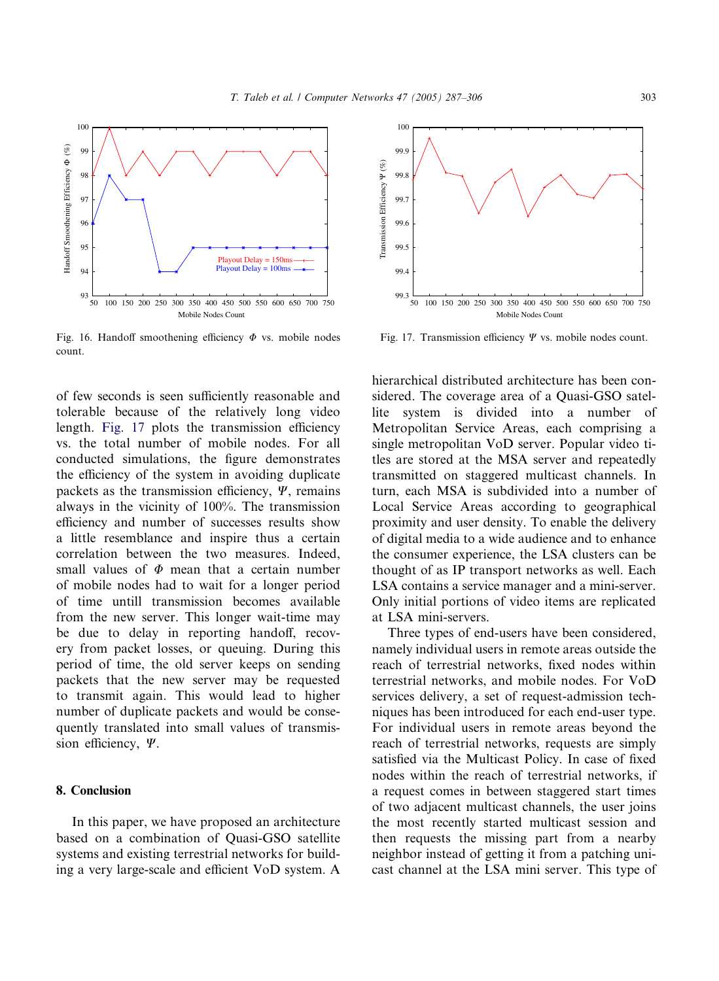<span id="page-16-0"></span>

Fig. 16. Handoff smoothening efficiency  $\Phi$  vs. mobile nodes count.

of few seconds is seen sufficiently reasonable and tolerable because of the relatively long video length. Fig. 17 plots the transmission efficiency vs. the total number of mobile nodes. For all conducted simulations, the figure demonstrates the efficiency of the system in avoiding duplicate packets as the transmission efficiency,  $\Psi$ , remains always in the vicinity of 100%. The transmission efficiency and number of successes results show a little resemblance and inspire thus a certain correlation between the two measures. Indeed, small values of  $\Phi$  mean that a certain number of mobile nodes had to wait for a longer period of time untill transmission becomes available from the new server. This longer wait-time may be due to delay in reporting handoff, recovery from packet losses, or queuing. During this period of time, the old server keeps on sending packets that the new server may be requested to transmit again. This would lead to higher number of duplicate packets and would be consequently translated into small values of transmission efficiency,  $\Psi$ .

# 8. Conclusion

In this paper, we have proposed an architecture based on a combination of Quasi-GSO satellite systems and existing terrestrial networks for building a very large-scale and efficient VoD system. A



Fig. 17. Transmission efficiency  $\Psi$  vs. mobile nodes count.

hierarchical distributed architecture has been considered. The coverage area of a Quasi-GSO satellite system is divided into a number of Metropolitan Service Areas, each comprising a single metropolitan VoD server. Popular video titles are stored at the MSA server and repeatedly transmitted on staggered multicast channels. In turn, each MSA is subdivided into a number of Local Service Areas according to geographical proximity and user density. To enable the delivery of digital media to a wide audience and to enhance the consumer experience, the LSA clusters can be thought of as IP transport networks as well. Each LSA contains a service manager and a mini-server. Only initial portions of video items are replicated at LSA mini-servers.

Three types of end-users have been considered, namely individual users in remote areas outside the reach of terrestrial networks, fixed nodes within terrestrial networks, and mobile nodes. For VoD services delivery, a set of request-admission techniques has been introduced for each end-user type. For individual users in remote areas beyond the reach of terrestrial networks, requests are simply satisfied via the Multicast Policy. In case of fixed nodes within the reach of terrestrial networks, if a request comes in between staggered start times of two adjacent multicast channels, the user joins the most recently started multicast session and then requests the missing part from a nearby neighbor instead of getting it from a patching unicast channel at the LSA mini server. This type of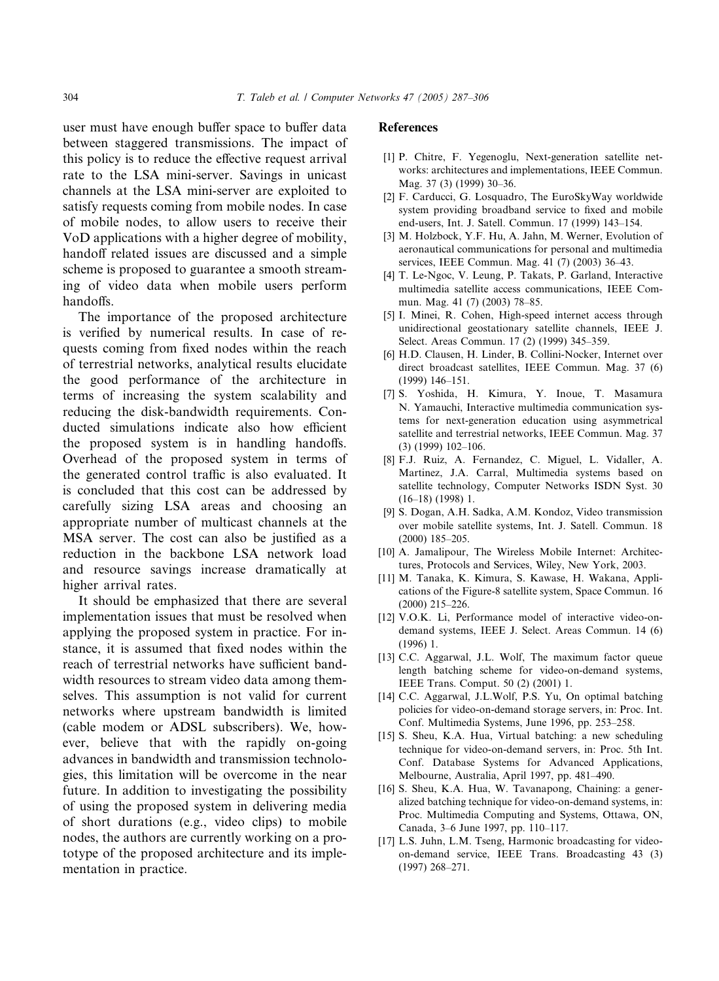<span id="page-17-0"></span>user must have enough buffer space to buffer data between staggered transmissions. The impact of this policy is to reduce the effective request arrival rate to the LSA mini-server. Savings in unicast channels at the LSA mini-server are exploited to satisfy requests coming from mobile nodes. In case of mobile nodes, to allow users to receive their VoD applications with a higher degree of mobility, handoff related issues are discussed and a simple scheme is proposed to guarantee a smooth streaming of video data when mobile users perform handoffs.

The importance of the proposed architecture is verified by numerical results. In case of requests coming from fixed nodes within the reach of terrestrial networks, analytical results elucidate the good performance of the architecture in terms of increasing the system scalability and reducing the disk-bandwidth requirements. Conducted simulations indicate also how efficient the proposed system is in handling handoffs. Overhead of the proposed system in terms of the generated control traffic is also evaluated. It is concluded that this cost can be addressed by carefully sizing LSA areas and choosing an appropriate number of multicast channels at the MSA server. The cost can also be justified as a reduction in the backbone LSA network load and resource savings increase dramatically at higher arrival rates.

It should be emphasized that there are several implementation issues that must be resolved when applying the proposed system in practice. For instance, it is assumed that fixed nodes within the reach of terrestrial networks have sufficient bandwidth resources to stream video data among themselves. This assumption is not valid for current networks where upstream bandwidth is limited (cable modem or ADSL subscribers). We, however, believe that with the rapidly on-going advances in bandwidth and transmission technologies, this limitation will be overcome in the near future. In addition to investigating the possibility of using the proposed system in delivering media of short durations (e.g., video clips) to mobile nodes, the authors are currently working on a prototype of the proposed architecture and its implementation in practice.

#### References

- [1] P. Chitre, F. Yegenoglu, Next-generation satellite networks: architectures and implementations, IEEE Commun. Mag. 37 (3) (1999) 30–36.
- [2] F. Carducci, G. Losquadro, The EuroSkyWay worldwide system providing broadband service to fixed and mobile end-users, Int. J. Satell. Commun. 17 (1999) 143–154.
- [3] M. Holzbock, Y.F. Hu, A. Jahn, M. Werner, Evolution of aeronautical communications for personal and multimedia services, IEEE Commun. Mag. 41 (7) (2003) 36–43.
- [4] T. Le-Ngoc, V. Leung, P. Takats, P. Garland, Interactive multimedia satellite access communications, IEEE Commun. Mag. 41 (7) (2003) 78–85.
- [5] I. Minei, R. Cohen, High-speed internet access through unidirectional geostationary satellite channels, IEEE J. Select. Areas Commun. 17 (2) (1999) 345–359.
- [6] H.D. Clausen, H. Linder, B. Collini-Nocker, Internet over direct broadcast satellites, IEEE Commun. Mag. 37 (6) (1999) 146–151.
- [7] S. Yoshida, H. Kimura, Y. Inoue, T. Masamura N. Yamauchi, Interactive multimedia communication systems for next-generation education using asymmetrical satellite and terrestrial networks, IEEE Commun. Mag. 37 (3) (1999) 102–106.
- [8] F.J. Ruiz, A. Fernandez, C. Miguel, L. Vidaller, A. Martinez, J.A. Carral, Multimedia systems based on satellite technology, Computer Networks ISDN Syst. 30 (16–18) (1998) 1.
- [9] S. Dogan, A.H. Sadka, A.M. Kondoz, Video transmission over mobile satellite systems, Int. J. Satell. Commun. 18 (2000) 185–205.
- [10] A. Jamalipour, The Wireless Mobile Internet: Architectures, Protocols and Services, Wiley, New York, 2003.
- [11] M. Tanaka, K. Kimura, S. Kawase, H. Wakana, Applications of the Figure-8 satellite system, Space Commun. 16 (2000) 215–226.
- [12] V.O.K. Li, Performance model of interactive video-ondemand systems, IEEE J. Select. Areas Commun. 14 (6) (1996) 1.
- [13] C.C. Aggarwal, J.L. Wolf, The maximum factor queue length batching scheme for video-on-demand systems, IEEE Trans. Comput. 50 (2) (2001) 1.
- [14] C.C. Aggarwal, J.L.Wolf, P.S. Yu, On optimal batching policies for video-on-demand storage servers, in: Proc. Int. Conf. Multimedia Systems, June 1996, pp. 253–258.
- [15] S. Sheu, K.A. Hua, Virtual batching: a new scheduling technique for video-on-demand servers, in: Proc. 5th Int. Conf. Database Systems for Advanced Applications, Melbourne, Australia, April 1997, pp. 481–490.
- [16] S. Sheu, K.A. Hua, W. Tavanapong, Chaining: a generalized batching technique for video-on-demand systems, in: Proc. Multimedia Computing and Systems, Ottawa, ON, Canada, 3–6 June 1997, pp. 110–117.
- [17] L.S. Juhn, L.M. Tseng, Harmonic broadcasting for videoon-demand service, IEEE Trans. Broadcasting 43 (3) (1997) 268–271.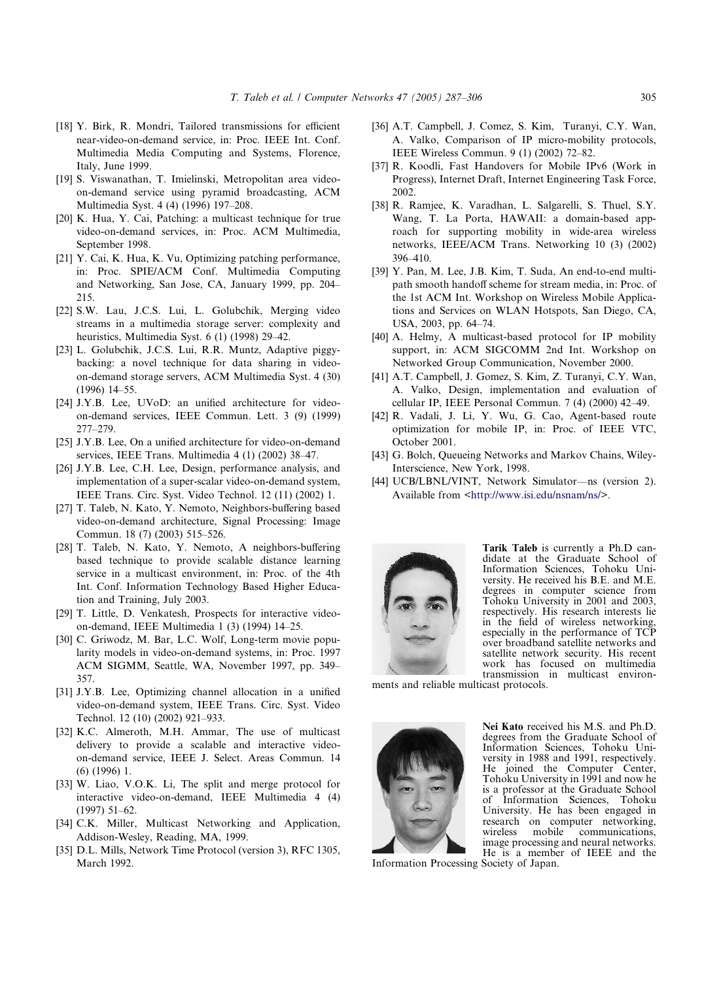- <span id="page-18-0"></span>[18] Y. Birk, R. Mondri, Tailored transmissions for efficient near-video-on-demand service, in: Proc. IEEE Int. Conf. Multimedia Media Computing and Systems, Florence, Italy, June 1999.
- [19] S. Viswanathan, T. Imielinski, Metropolitan area videoon-demand service using pyramid broadcasting, ACM Multimedia Syst. 4 (4) (1996) 197–208.
- [20] K. Hua, Y. Cai, Patching: a multicast technique for true video-on-demand services, in: Proc. ACM Multimedia, September 1998.
- [21] Y. Cai, K. Hua, K. Vu, Optimizing patching performance, in: Proc. SPIE/ACM Conf. Multimedia Computing and Networking, San Jose, CA, January 1999, pp. 204– 215.
- [22] S.W. Lau, J.C.S. Lui, L. Golubchik, Merging video streams in a multimedia storage server: complexity and heuristics, Multimedia Syst. 6 (1) (1998) 29–42.
- [23] L. Golubchik, J.C.S. Lui, R.R. Muntz, Adaptive piggybacking: a novel technique for data sharing in videoon-demand storage servers, ACM Multimedia Syst. 4 (30) (1996) 14–55.
- [24] J.Y.B. Lee, UVoD: an unified architecture for videoon-demand services, IEEE Commun. Lett. 3 (9) (1999) 277–279.
- [25] J.Y.B. Lee, On a unified architecture for video-on-demand services, IEEE Trans. Multimedia 4 (1) (2002) 38–47.
- [26] J.Y.B. Lee, C.H. Lee, Design, performance analysis, and implementation of a super-scalar video-on-demand system, IEEE Trans. Circ. Syst. Video Technol. 12 (11) (2002) 1.
- [27] T. Taleb, N. Kato, Y. Nemoto, Neighbors-buffering based video-on-demand architecture, Signal Processing: Image Commun. 18 (7) (2003) 515–526.
- [28] T. Taleb, N. Kato, Y. Nemoto, A neighbors-buffering based technique to provide scalable distance learning service in a multicast environment, in: Proc. of the 4th Int. Conf. Information Technology Based Higher Education and Training, July 2003.
- [29] T. Little, D. Venkatesh, Prospects for interactive videoon-demand, IEEE Multimedia 1 (3) (1994) 14–25.
- [30] C. Griwodz, M. Bar, L.C. Wolf, Long-term movie popularity models in video-on-demand systems, in: Proc. 1997 ACM SIGMM, Seattle, WA, November 1997, pp. 349– 357.
- [31] J.Y.B. Lee, Optimizing channel allocation in a unified video-on-demand system, IEEE Trans. Circ. Syst. Video Technol. 12 (10) (2002) 921–933.
- [32] K.C. Almeroth, M.H. Ammar, The use of multicast delivery to provide a scalable and interactive videoon-demand service, IEEE J. Select. Areas Commun. 14 (6) (1996) 1.
- [33] W. Liao, V.O.K. Li, The split and merge protocol for interactive video-on-demand, IEEE Multimedia 4 (4) (1997) 51–62.
- [34] C.K. Miller, Multicast Networking and Application, Addison-Wesley, Reading, MA, 1999.
- [35] D.L. Mills, Network Time Protocol (version 3), RFC 1305, March 1992.
- [36] A.T. Campbell, J. Comez, S. Kim, Turanyi, C.Y. Wan, A. Valko, Comparison of IP micro-mobility protocols, IEEE Wireless Commun. 9 (1) (2002) 72–82.
- [37] R. Koodli, Fast Handovers for Mobile IPv6 (Work in Progress), Internet Draft, Internet Engineering Task Force, 2002.
- [38] R. Ramjee, K. Varadhan, L. Salgarelli, S. Thuel, S.Y. Wang, T. La Porta, HAWAII: a domain-based approach for supporting mobility in wide-area wireless networks, IEEE/ACM Trans. Networking 10 (3) (2002) 396–410.
- [39] Y. Pan, M. Lee, J.B. Kim, T. Suda, An end-to-end multipath smooth handoff scheme for stream media, in: Proc. of the 1st ACM Int. Workshop on Wireless Mobile Applications and Services on WLAN Hotspots, San Diego, CA, USA, 2003, pp. 64–74.
- [40] A. Helmy, A multicast-based protocol for IP mobility support, in: ACM SIGCOMM 2nd Int. Workshop on Networked Group Communication, November 2000.
- [41] A.T. Campbell, J. Gomez, S. Kim, Z. Turanyi, C.Y. Wan, A. Valko, Design, implementation and evaluation of cellular IP, IEEE Personal Commun. 7 (4) (2000) 42–49.
- [42] R. Vadali, J. Li, Y. Wu, G. Cao, Agent-based route optimization for mobile IP, in: Proc. of IEEE VTC, October 2001.
- [43] G. Bolch, Queueing Networks and Markov Chains, Wiley-Interscience, New York, 1998.
- [44] UCB/LBNL/VINT, Network Simulator---ns (version 2). Available from <[http://www.isi.edu/nsnam/ns/>](http://www.isi.edu/nsnam/ns/).



Tarik Taleb is currently a Ph.D candidate at the Graduate School of Information Sciences, Tohoku Uni-versity. He received his B.E. and M.E. degrees in computer science from Tohoku University in 2001 and 2003, respectively. His research interests lie in the field of wireless networking, especially in the performance of TCP over broadband satellite networks and satellite network security. His recent work has focused on multimedia transmission in multicast environ-

ments and reliable multicast protocols.



Nei Kato received his M.S. and Ph.D. degrees from the Graduate School of Information Sciences, Tohoku University in 1988 and 1991, respectively. He joined the Computer Center, Tohoku University in 1991 and now he is a professor at the Graduate School of Information Sciences, Tohoku University. He has been engaged in research on computer networking,<br>wireless mobile communications. wireless mobile communications, image processing and neural networks. He is a member of IEEE and the

Information Processing Society of Japan.